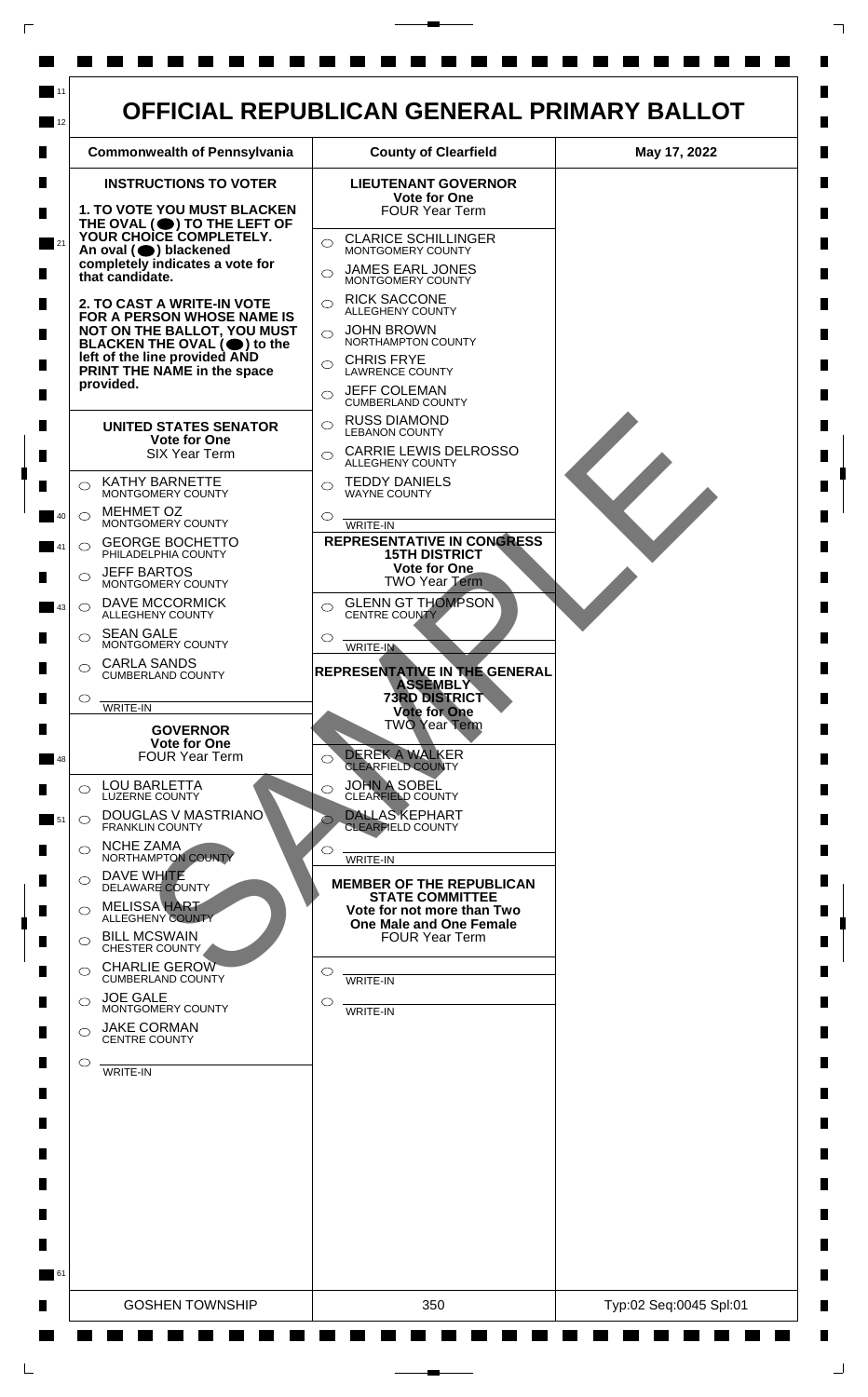

 $\mathsf{L}$